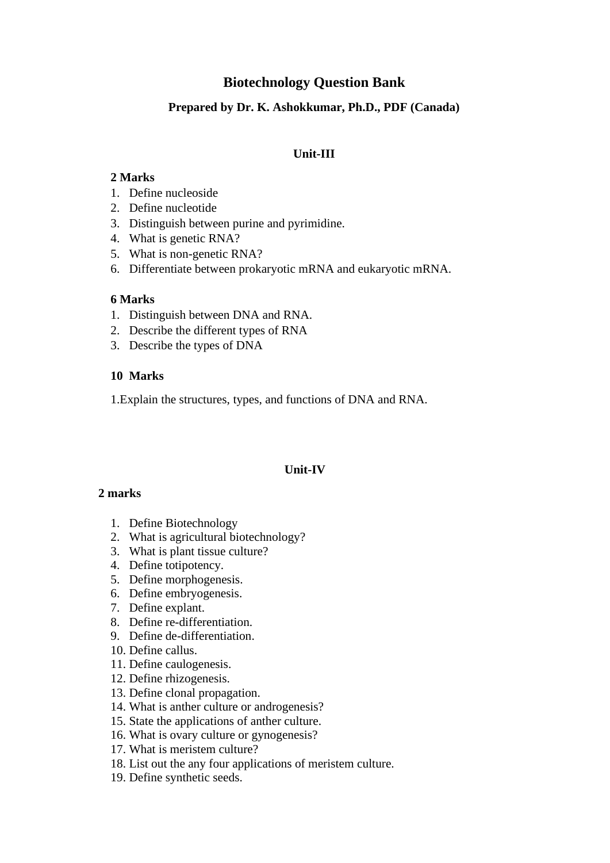# **Biotechnology Question Bank**

# **Prepared by Dr. K. Ashokkumar, Ph.D., PDF (Canada)**

#### **Unit-III**

# **2 Marks**

- 1. Define nucleoside
- 2. Define nucleotide
- 3. Distinguish between purine and pyrimidine.
- 4. What is genetic RNA?
- 5. What is non-genetic RNA?
- 6. Differentiate between prokaryotic mRNA and eukaryotic mRNA.

#### **6 Marks**

- 1. Distinguish between DNA and RNA.
- 2. Describe the different types of RNA
- 3. Describe the types of DNA

#### **10 Marks**

1.Explain the structures, types, and functions of DNA and RNA.

#### **Unit-IV**

#### **2 marks**

- 1. Define Biotechnology
- 2. What is agricultural biotechnology?
- 3. What is plant tissue culture?
- 4. Define totipotency.
- 5. Define morphogenesis.
- 6. Define embryogenesis.
- 7. Define explant.
- 8. Define re-differentiation.
- 9. Define de-differentiation.
- 10. Define callus.
- 11. Define caulogenesis.
- 12. Define rhizogenesis.
- 13. Define clonal propagation.
- 14. What is anther culture or androgenesis?
- 15. State the applications of anther culture.
- 16. What is ovary culture or gynogenesis?
- 17. What is meristem culture?
- 18. List out the any four applications of meristem culture.
- 19. Define synthetic seeds.